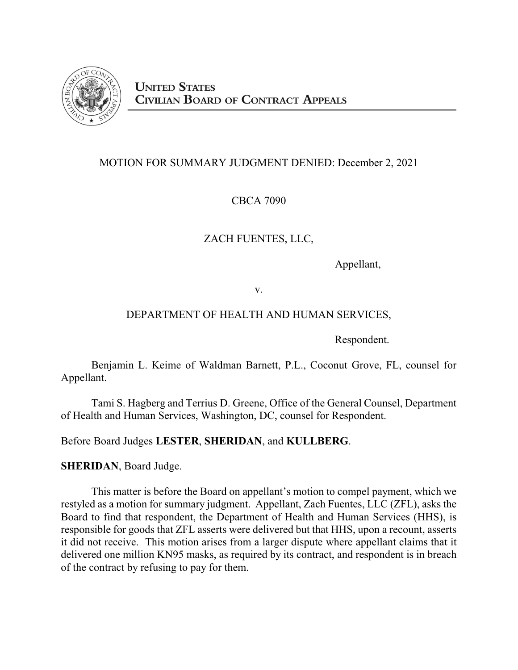

## MOTION FOR SUMMARY JUDGMENT DENIED: December 2, 2021

# CBCA 7090

# ZACH FUENTES, LLC,

Appellant,

v.

## DEPARTMENT OF HEALTH AND HUMAN SERVICES,

Respondent.

Benjamin L. Keime of Waldman Barnett, P.L., Coconut Grove, FL, counsel for Appellant.

Tami S. Hagberg and Terrius D. Greene, Office of the General Counsel, Department of Health and Human Services, Washington, DC, counsel for Respondent.

Before Board Judges **LESTER**, **SHERIDAN**, and **KULLBERG**.

**SHERIDAN**, Board Judge.

This matter is before the Board on appellant's motion to compel payment, which we restyled as a motion for summary judgment. Appellant, Zach Fuentes, LLC (ZFL), asks the Board to find that respondent, the Department of Health and Human Services (HHS), is responsible for goods that ZFL asserts were delivered but that HHS, upon a recount, asserts it did not receive. This motion arises from a larger dispute where appellant claims that it delivered one million KN95 masks, as required by its contract, and respondent is in breach of the contract by refusing to pay for them.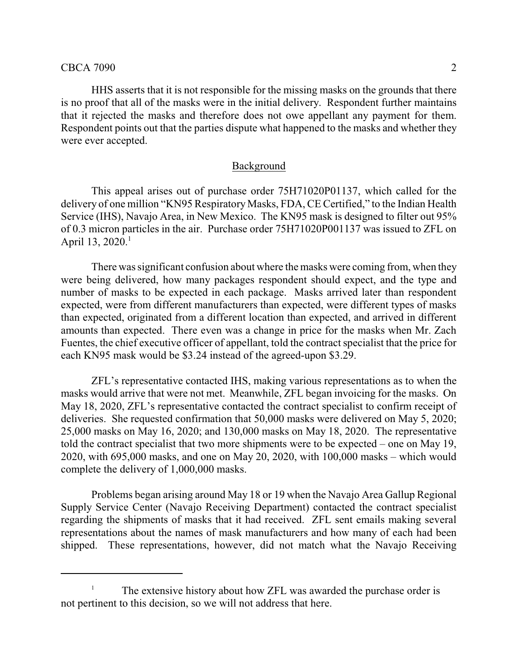HHS asserts that it is not responsible for the missing masks on the grounds that there is no proof that all of the masks were in the initial delivery. Respondent further maintains that it rejected the masks and therefore does not owe appellant any payment for them. Respondent points out that the parties dispute what happened to the masks and whether they were ever accepted.

#### Background

This appeal arises out of purchase order 75H71020P01137, which called for the delivery of one million "KN95 Respiratory Masks, FDA, CE Certified," to the Indian Health Service (IHS), Navajo Area, in New Mexico. The KN95 mask is designed to filter out 95% of 0.3 micron particles in the air. Purchase order 75H71020P001137 was issued to ZFL on April 13, 2020.<sup>1</sup>

There was significant confusion about where the masks were coming from, when they were being delivered, how many packages respondent should expect, and the type and number of masks to be expected in each package. Masks arrived later than respondent expected, were from different manufacturers than expected, were different types of masks than expected, originated from a different location than expected, and arrived in different amounts than expected. There even was a change in price for the masks when Mr. Zach Fuentes, the chief executive officer of appellant, told the contract specialist that the price for each KN95 mask would be \$3.24 instead of the agreed-upon \$3.29.

ZFL's representative contacted IHS, making various representations as to when the masks would arrive that were not met. Meanwhile, ZFL began invoicing for the masks. On May 18, 2020, ZFL's representative contacted the contract specialist to confirm receipt of deliveries. She requested confirmation that 50,000 masks were delivered on May 5, 2020; 25,000 masks on May 16, 2020; and 130,000 masks on May 18, 2020. The representative told the contract specialist that two more shipments were to be expected – one on May 19, 2020, with 695,000 masks, and one on May 20, 2020, with 100,000 masks – which would complete the delivery of 1,000,000 masks.

Problems began arising around May 18 or 19 when the Navajo Area Gallup Regional Supply Service Center (Navajo Receiving Department) contacted the contract specialist regarding the shipments of masks that it had received. ZFL sent emails making several representations about the names of mask manufacturers and how many of each had been shipped. These representations, however, did not match what the Navajo Receiving

The extensive history about how ZFL was awarded the purchase order is not pertinent to this decision, so we will not address that here.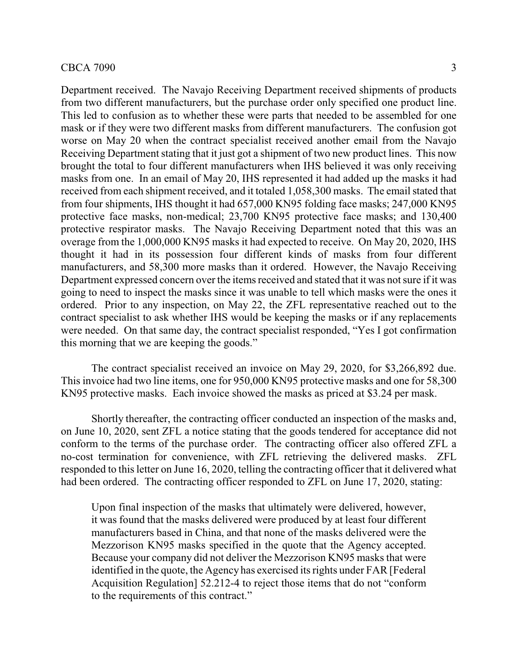### $\text{CBCA 7090}$  3

Department received. The Navajo Receiving Department received shipments of products from two different manufacturers, but the purchase order only specified one product line. This led to confusion as to whether these were parts that needed to be assembled for one mask or if they were two different masks from different manufacturers. The confusion got worse on May 20 when the contract specialist received another email from the Navajo Receiving Department stating that it just got a shipment of two new product lines. This now brought the total to four different manufacturers when IHS believed it was only receiving masks from one. In an email of May 20, IHS represented it had added up the masks it had received from each shipment received, and it totaled 1,058,300 masks. The email stated that from four shipments, IHS thought it had 657,000 KN95 folding face masks; 247,000 KN95 protective face masks, non-medical; 23,700 KN95 protective face masks; and 130,400 protective respirator masks. The Navajo Receiving Department noted that this was an overage from the 1,000,000 KN95 masks it had expected to receive. On May 20, 2020, IHS thought it had in its possession four different kinds of masks from four different manufacturers, and 58,300 more masks than it ordered. However, the Navajo Receiving Department expressed concern over the items received and stated that it was not sure if it was going to need to inspect the masks since it was unable to tell which masks were the ones it ordered. Prior to any inspection, on May 22, the ZFL representative reached out to the contract specialist to ask whether IHS would be keeping the masks or if any replacements were needed. On that same day, the contract specialist responded, "Yes I got confirmation this morning that we are keeping the goods."

The contract specialist received an invoice on May 29, 2020, for \$3,266,892 due. This invoice had two line items, one for 950,000 KN95 protective masks and one for 58,300 KN95 protective masks. Each invoice showed the masks as priced at \$3.24 per mask.

Shortly thereafter, the contracting officer conducted an inspection of the masks and, on June 10, 2020, sent ZFL a notice stating that the goods tendered for acceptance did not conform to the terms of the purchase order. The contracting officer also offered ZFL a no-cost termination for convenience, with ZFL retrieving the delivered masks. ZFL responded to this letter on June 16, 2020, telling the contracting officer that it delivered what had been ordered. The contracting officer responded to ZFL on June 17, 2020, stating:

Upon final inspection of the masks that ultimately were delivered, however, it was found that the masks delivered were produced by at least four different manufacturers based in China, and that none of the masks delivered were the Mezzorison KN95 masks specified in the quote that the Agency accepted. Because your company did not deliver the Mezzorison KN95 masks that were identified in the quote, the Agency has exercised its rights under FAR [Federal Acquisition Regulation] 52.212-4 to reject those items that do not "conform to the requirements of this contract."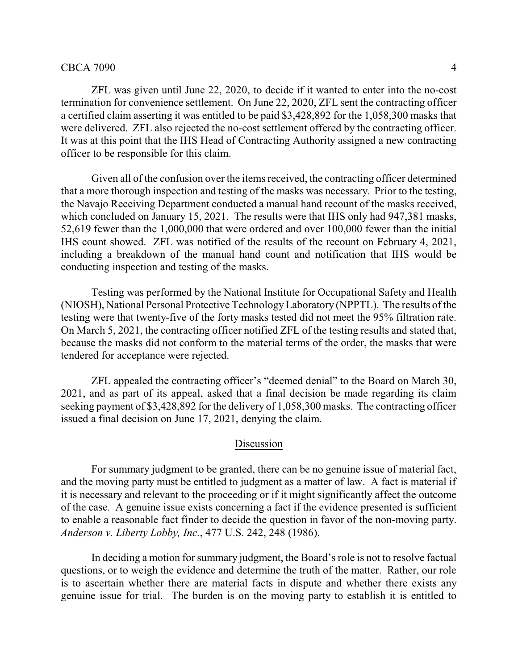### CBCA 7090 4

ZFL was given until June 22, 2020, to decide if it wanted to enter into the no-cost termination for convenience settlement. On June 22, 2020, ZFL sent the contracting officer a certified claim asserting it was entitled to be paid \$3,428,892 for the 1,058,300 masks that were delivered. ZFL also rejected the no-cost settlement offered by the contracting officer. It was at this point that the IHS Head of Contracting Authority assigned a new contracting officer to be responsible for this claim.

Given all of the confusion over the items received, the contracting officer determined that a more thorough inspection and testing of the masks was necessary. Prior to the testing, the Navajo Receiving Department conducted a manual hand recount of the masks received, which concluded on January 15, 2021. The results were that IHS only had 947,381 masks, 52,619 fewer than the 1,000,000 that were ordered and over 100,000 fewer than the initial IHS count showed. ZFL was notified of the results of the recount on February 4, 2021, including a breakdown of the manual hand count and notification that IHS would be conducting inspection and testing of the masks.

Testing was performed by the National Institute for Occupational Safety and Health (NIOSH), National Personal Protective TechnologyLaboratory (NPPTL). The results of the testing were that twenty-five of the forty masks tested did not meet the 95% filtration rate. On March 5, 2021, the contracting officer notified ZFL of the testing results and stated that, because the masks did not conform to the material terms of the order, the masks that were tendered for acceptance were rejected.

ZFL appealed the contracting officer's "deemed denial" to the Board on March 30, 2021, and as part of its appeal, asked that a final decision be made regarding its claim seeking payment of \$3,428,892 for the delivery of 1,058,300 masks. The contracting officer issued a final decision on June 17, 2021, denying the claim.

### Discussion

For summary judgment to be granted, there can be no genuine issue of material fact, and the moving party must be entitled to judgment as a matter of law. A fact is material if it is necessary and relevant to the proceeding or if it might significantly affect the outcome of the case. A genuine issue exists concerning a fact if the evidence presented is sufficient to enable a reasonable fact finder to decide the question in favor of the non-moving party. *Anderson v. Liberty Lobby, Inc.*, 477 U.S. 242, 248 (1986).

In deciding a motion for summary judgment, the Board's role is not to resolve factual questions, or to weigh the evidence and determine the truth of the matter. Rather, our role is to ascertain whether there are material facts in dispute and whether there exists any genuine issue for trial. The burden is on the moving party to establish it is entitled to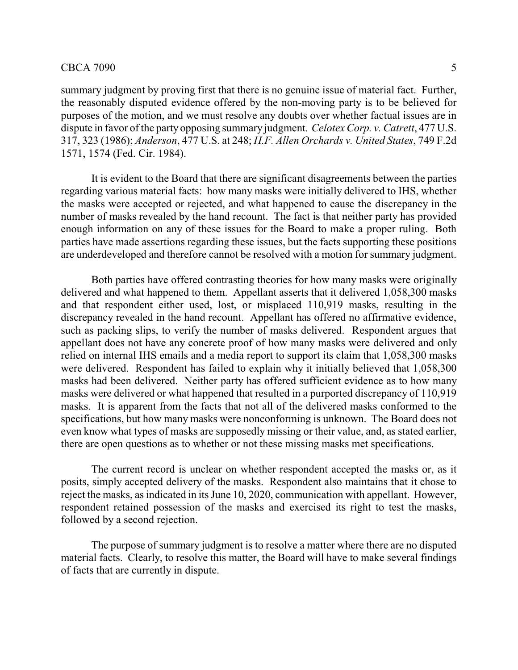#### $CBCA 7090$  5

summary judgment by proving first that there is no genuine issue of material fact. Further, the reasonably disputed evidence offered by the non-moving party is to be believed for purposes of the motion, and we must resolve any doubts over whether factual issues are in dispute in favor of the party opposing summary judgment. *Celotex Corp. v. Catrett*, 477 U.S. 317, 323 (1986); *Anderson*, 477 U.S. at 248; *H.F. Allen Orchards v. United States*, 749 F.2d 1571, 1574 (Fed. Cir. 1984).

It is evident to the Board that there are significant disagreements between the parties regarding various material facts: how many masks were initially delivered to IHS, whether the masks were accepted or rejected, and what happened to cause the discrepancy in the number of masks revealed by the hand recount. The fact is that neither party has provided enough information on any of these issues for the Board to make a proper ruling. Both parties have made assertions regarding these issues, but the facts supporting these positions are underdeveloped and therefore cannot be resolved with a motion for summary judgment.

Both parties have offered contrasting theories for how many masks were originally delivered and what happened to them. Appellant asserts that it delivered 1,058,300 masks and that respondent either used, lost, or misplaced 110,919 masks, resulting in the discrepancy revealed in the hand recount. Appellant has offered no affirmative evidence, such as packing slips, to verify the number of masks delivered. Respondent argues that appellant does not have any concrete proof of how many masks were delivered and only relied on internal IHS emails and a media report to support its claim that 1,058,300 masks were delivered. Respondent has failed to explain why it initially believed that 1,058,300 masks had been delivered. Neither party has offered sufficient evidence as to how many masks were delivered or what happened that resulted in a purported discrepancy of 110,919 masks. It is apparent from the facts that not all of the delivered masks conformed to the specifications, but how many masks were nonconforming is unknown. The Board does not even know what types of masks are supposedly missing or their value, and, as stated earlier, there are open questions as to whether or not these missing masks met specifications.

The current record is unclear on whether respondent accepted the masks or, as it posits, simply accepted delivery of the masks. Respondent also maintains that it chose to reject the masks, as indicated in its June 10, 2020, communication with appellant. However, respondent retained possession of the masks and exercised its right to test the masks, followed by a second rejection.

The purpose of summary judgment is to resolve a matter where there are no disputed material facts. Clearly, to resolve this matter, the Board will have to make several findings of facts that are currently in dispute.